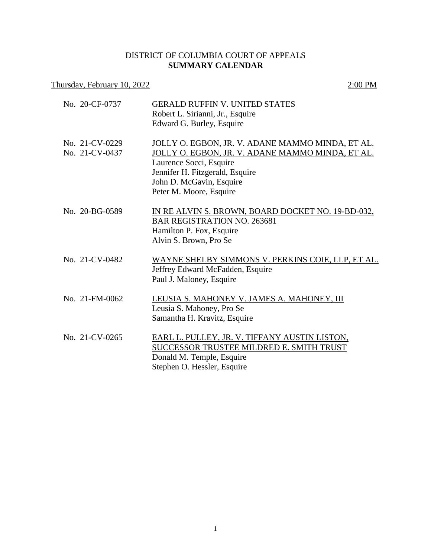## DISTRICT OF COLUMBIA COURT OF APPEALS **SUMMARY CALENDAR**

# Thursday, February 10, 2022 2:00 PM

| No. 20-CF-0737                   | <b>GERALD RUFFIN V. UNITED STATES</b><br>Robert L. Sirianni, Jr., Esquire<br>Edward G. Burley, Esquire                                                                                                                           |
|----------------------------------|----------------------------------------------------------------------------------------------------------------------------------------------------------------------------------------------------------------------------------|
| No. 21-CV-0229<br>No. 21-CV-0437 | JOLLY O. EGBON, JR. V. ADANE MAMMO MINDA, ET AL.<br><u>JOLLY O. EGBON, JR. V. ADANE MAMMO MINDA, ET AL.</u><br>Laurence Socci, Esquire<br>Jennifer H. Fitzgerald, Esquire<br>John D. McGavin, Esquire<br>Peter M. Moore, Esquire |
| No. 20-BG-0589                   | IN REALVIN S. BROWN, BOARD DOCKET NO. 19-BD-032,<br><b>BAR REGISTRATION NO. 263681</b><br>Hamilton P. Fox, Esquire<br>Alvin S. Brown, Pro Se                                                                                     |
| No. 21-CV-0482                   | WAYNE SHELBY SIMMONS V. PERKINS COIE, LLP, ET AL.<br>Jeffrey Edward McFadden, Esquire<br>Paul J. Maloney, Esquire                                                                                                                |
| No. 21-FM-0062                   | LEUSIA S. MAHONEY V. JAMES A. MAHONEY, III<br>Leusia S. Mahoney, Pro Se<br>Samantha H. Kravitz, Esquire                                                                                                                          |
| No. 21-CV-0265                   | EARL L. PULLEY, JR. V. TIFFANY AUSTIN LISTON,<br>SUCCESSOR TRUSTEE MILDRED E. SMITH TRUST<br>Donald M. Temple, Esquire<br>Stephen O. Hessler, Esquire                                                                            |